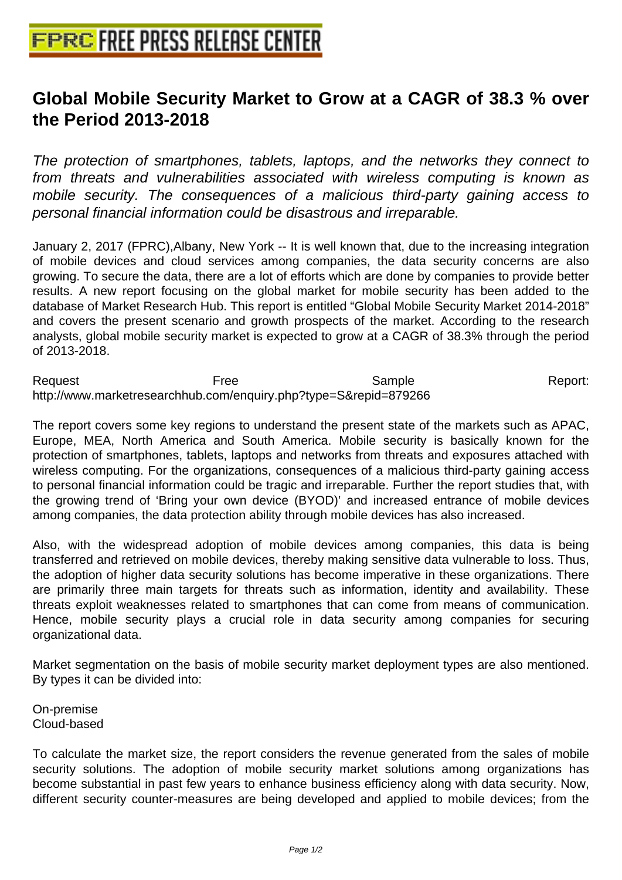## **[Global Mobile Security Market to G](http://www.free-press-release-center.info)row at a CAGR of 38.3 % over the Period 2013-2018**

The protection of smartphones, tablets, laptops, and the networks they connect to from threats and vulnerabilities associated with wireless computing is known as mobile security. The consequences of a malicious third-party gaining access to personal financial information could be disastrous and irreparable.

January 2, 2017 (FPRC),Albany, New York -- It is well known that, due to the increasing integration of mobile devices and cloud services among companies, the data security concerns are also growing. To secure the data, there are a lot of efforts which are done by companies to provide better results. A new report focusing on the global market for mobile security has been added to the database of Market Research Hub. This report is entitled "Global Mobile Security Market 2014-2018" and covers the present scenario and growth prospects of the market. According to the research analysts, global mobile security market is expected to grow at a CAGR of 38.3% through the period of 2013-2018.

Request **Report:** Free Sample Sample Report: http://www.marketresearchhub.com/enquiry.php?type=S&repid=879266

The report covers some key regions to understand the present state of the markets such as APAC, Europe, MEA, North America and South America. Mobile security is basically known for the protection of smartphones, tablets, laptops and networks from threats and exposures attached with wireless computing. For the organizations, consequences of a malicious third-party gaining access to personal financial information could be tragic and irreparable. Further the report studies that, with the growing trend of 'Bring your own device (BYOD)' and increased entrance of mobile devices among companies, the data protection ability through mobile devices has also increased.

Also, with the widespread adoption of mobile devices among companies, this data is being transferred and retrieved on mobile devices, thereby making sensitive data vulnerable to loss. Thus, the adoption of higher data security solutions has become imperative in these organizations. There are primarily three main targets for threats such as information, identity and availability. These threats exploit weaknesses related to smartphones that can come from means of communication. Hence, mobile security plays a crucial role in data security among companies for securing organizational data.

Market segmentation on the basis of mobile security market deployment types are also mentioned. By types it can be divided into:

On-premise Cloud-based

To calculate the market size, the report considers the revenue generated from the sales of mobile security solutions. The adoption of mobile security market solutions among organizations has become substantial in past few years to enhance business efficiency along with data security. Now, different security counter-measures are being developed and applied to mobile devices; from the